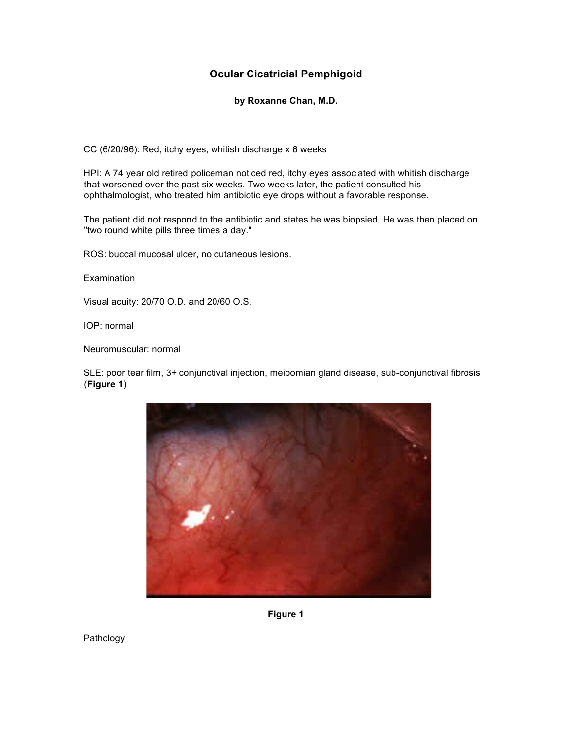#### **Ocular Cicatricial Pemphigoid**

**by Roxanne Chan, M.D.**

CC (6/20/96): Red, itchy eyes, whitish discharge x 6 weeks

HPI: A 74 year old retired policeman noticed red, itchy eyes associated with whitish discharge that worsened over the past six weeks. Two weeks later, the patient consulted his ophthalmologist, who treated him antibiotic eye drops without a favorable response.

The patient did not respond to the antibiotic and states he was biopsied. He was then placed on "two round white pills three times a day."

ROS: buccal mucosal ulcer, no cutaneous lesions.

**Examination** 

Visual acuity: 20/70 O.D. and 20/60 O.S.

IOP: normal

Neuromuscular: normal

SLE: poor tear film, 3+ conjunctival injection, meibomian gland disease, sub-conjunctival fibrosis (**Figure 1**)



**Figure 1**

Pathology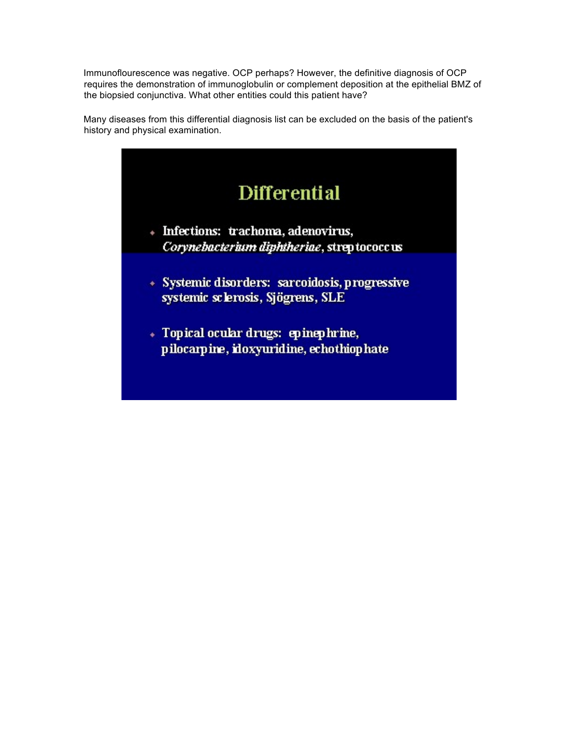Immunoflourescence was negative. OCP perhaps? However, the definitive diagnosis of OCP requires the demonstration of immunoglobulin or complement deposition at the epithelial BMZ of the biopsied conjunctiva. What other entities could this patient have?

Many diseases from this differential diagnosis list can be excluded on the basis of the patient's history and physical examination.

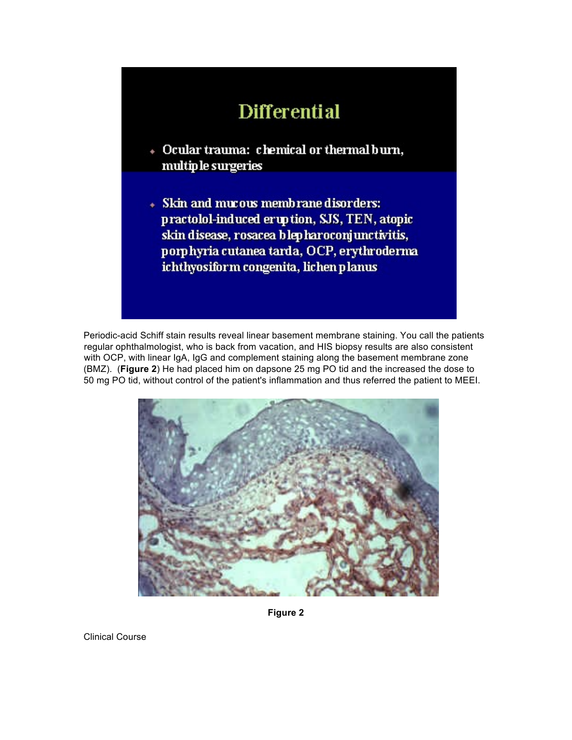# **Differential**

- + Ocular trauma: chemical or thermal burn, multip le surgeries
- Skin and mucous membrane disorders: practolol-induced eruption, SJS, TEN, atopic skin disease, rosacea blep haroconjunctivitis, porphyria cutanea tarda, OCP, erythroderma ichthyosiform congenita, lichen planus

Periodic-acid Schiff stain results reveal linear basement membrane staining. You call the patients regular ophthalmologist, who is back from vacation, and HIS biopsy results are also consistent with OCP, with linear IgA, IgG and complement staining along the basement membrane zone (BMZ). (**Figure 2**) He had placed him on dapsone 25 mg PO tid and the increased the dose to 50 mg PO tid, without control of the patient's inflammation and thus referred the patient to MEEI.



**Figure 2**

Clinical Course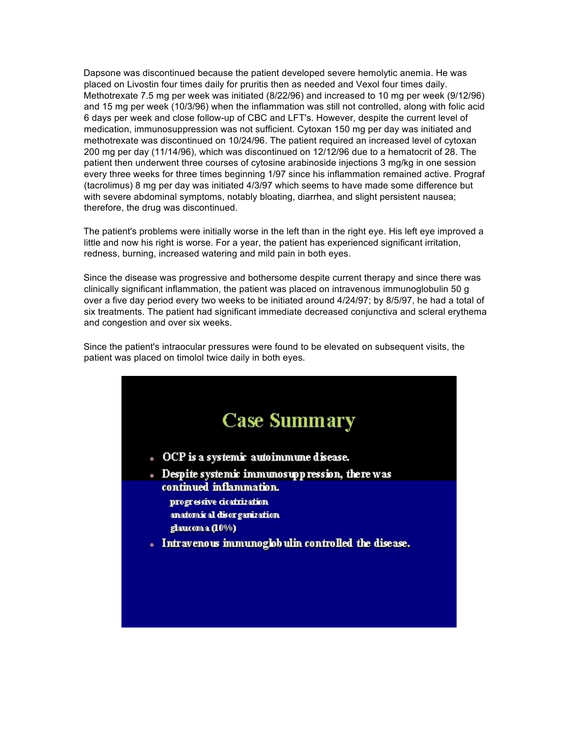Dapsone was discontinued because the patient developed severe hemolytic anemia. He was placed on Livostin four times daily for pruritis then as needed and Vexol four times daily. Methotrexate 7.5 mg per week was initiated (8/22/96) and increased to 10 mg per week (9/12/96) and 15 mg per week (10/3/96) when the inflammation was still not controlled, along with folic acid 6 days per week and close follow-up of CBC and LFT's. However, despite the current level of medication, immunosuppression was not sufficient. Cytoxan 150 mg per day was initiated and methotrexate was discontinued on 10/24/96. The patient required an increased level of cytoxan 200 mg per day (11/14/96), which was discontinued on 12/12/96 due to a hematocrit of 28. The patient then underwent three courses of cytosine arabinoside injections 3 mg/kg in one session every three weeks for three times beginning 1/97 since his inflammation remained active. Prograf (tacrolimus) 8 mg per day was initiated 4/3/97 which seems to have made some difference but with severe abdominal symptoms, notably bloating, diarrhea, and slight persistent nausea; therefore, the drug was discontinued.

The patient's problems were initially worse in the left than in the right eye. His left eye improved a little and now his right is worse. For a year, the patient has experienced significant irritation, redness, burning, increased watering and mild pain in both eyes.

Since the disease was progressive and bothersome despite current therapy and since there was clinically significant inflammation, the patient was placed on intravenous immunoglobulin 50 g over a five day period every two weeks to be initiated around 4/24/97; by 8/5/97, he had a total of six treatments. The patient had significant immediate decreased conjunctiva and scleral erythema and congestion and over six weeks.

Since the patient's intraocular pressures were found to be elevated on subsequent visits, the patient was placed on timolol twice daily in both eyes.

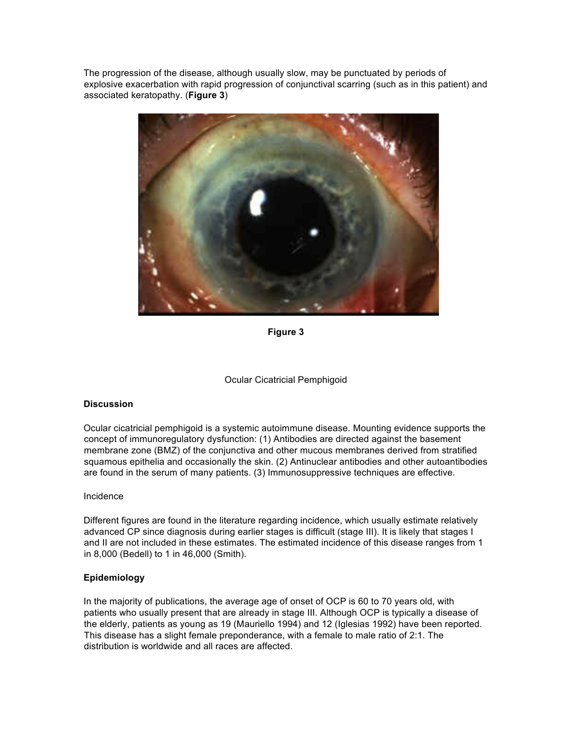The progression of the disease, although usually slow, may be punctuated by periods of explosive exacerbation with rapid progression of conjunctival scarring (such as in this patient) and associated keratopathy. (**Figure 3**)



**Figure 3**



#### **Discussion**

Ocular cicatricial pemphigoid is a systemic autoimmune disease. Mounting evidence supports the concept of immunoregulatory dysfunction: (1) Antibodies are directed against the basement membrane zone (BMZ) of the conjunctiva and other mucous membranes derived from stratified squamous epithelia and occasionally the skin. (2) Antinuclear antibodies and other autoantibodies are found in the serum of many patients. (3) Immunosuppressive techniques are effective.

#### Incidence

Different figures are found in the literature regarding incidence, which usually estimate relatively advanced CP since diagnosis during earlier stages is difficult (stage III). It is likely that stages I and II are not included in these estimates. The estimated incidence of this disease ranges from 1 in 8,000 (Bedell) to 1 in 46,000 (Smith).

#### **Epidemiology**

In the majority of publications, the average age of onset of OCP is 60 to 70 years old, with patients who usually present that are already in stage III. Although OCP is typically a disease of the elderly, patients as young as 19 (Mauriello 1994) and 12 (Iglesias 1992) have been reported. This disease has a slight female preponderance, with a female to male ratio of 2:1. The distribution is worldwide and all races are affected.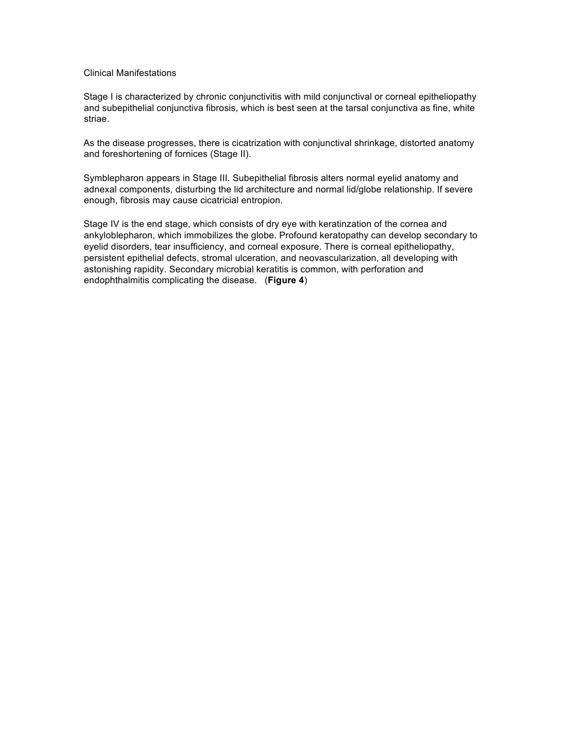#### Clinical Manifestations

Stage I is characterized by chronic conjunctivitis with mild conjunctival or corneal epitheliopathy and subepithelial conjunctiva fibrosis, which is best seen at the tarsal conjunctiva as fine, white striae.

As the disease progresses, there is cicatrization with conjunctival shrinkage, distorted anatomy and foreshortening of fornices (Stage II).

Symblepharon appears in Stage III. Subepithelial fibrosis alters normal eyelid anatomy and adnexal components, disturbing the lid architecture and normal lid/globe relationship. If severe enough, fibrosis may cause cicatricial entropion.

Stage IV is the end stage, which consists of dry eye with keratinzation of the cornea and ankyloblepharon, which immobilizes the globe. Profound keratopathy can develop secondary to eyelid disorders, tear insufficiency, and corneal exposure. There is corneal epitheliopathy, persistent epithelial defects, stromal ulceration, and neovascularization, all developing with astonishing rapidity. Secondary microbial keratitis is common, with perforation and endophthalmitis complicating the disease. (**Figure 4**)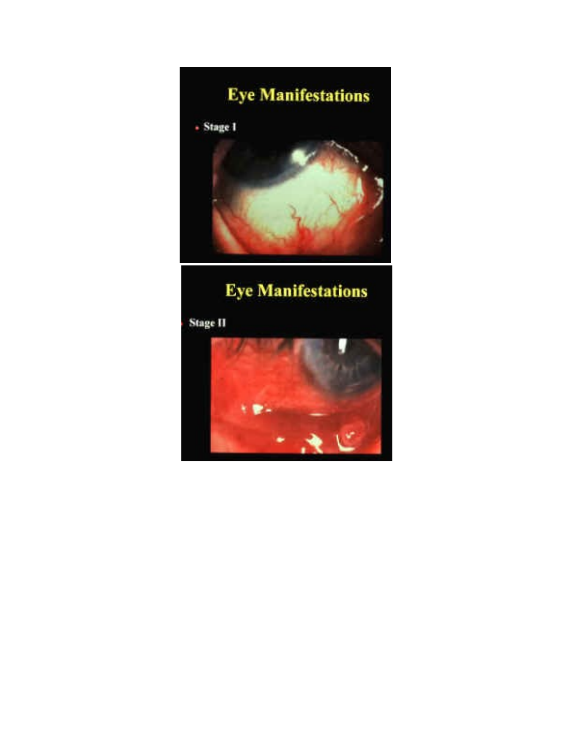

# **Eye Manifestations**

**Stage II** 

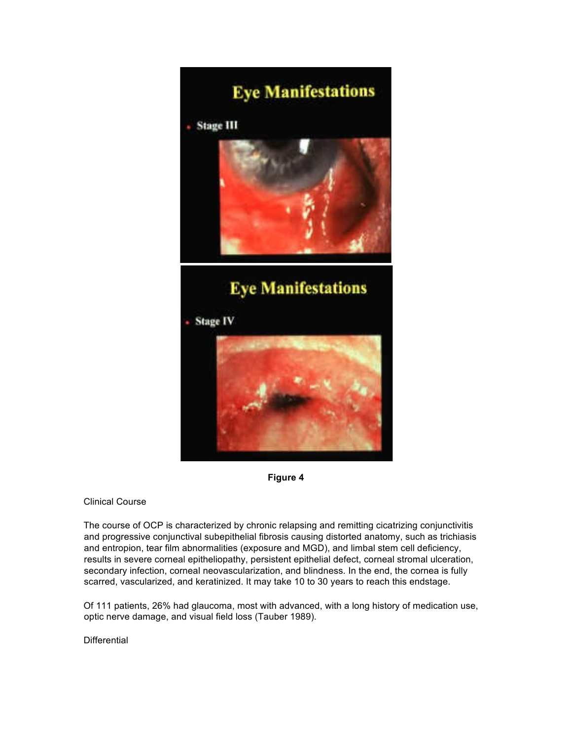# **Eye Manifestations**

**Stage III** 



### **Eye Manifestations**

**Stage IV** 





#### Clinical Course

The course of OCP is characterized by chronic relapsing and remitting cicatrizing conjunctivitis and progressive conjunctival subepithelial fibrosis causing distorted anatomy, such as trichiasis and entropion, tear film abnormalities (exposure and MGD), and limbal stem cell deficiency, results in severe corneal epitheliopathy, persistent epithelial defect, corneal stromal ulceration, secondary infection, corneal neovascularization, and blindness. In the end, the cornea is fully scarred, vascularized, and keratinized. It may take 10 to 30 years to reach this endstage.

Of 111 patients, 26% had glaucoma, most with advanced, with a long history of medication use, optic nerve damage, and visual field loss (Tauber 1989).

**Differential**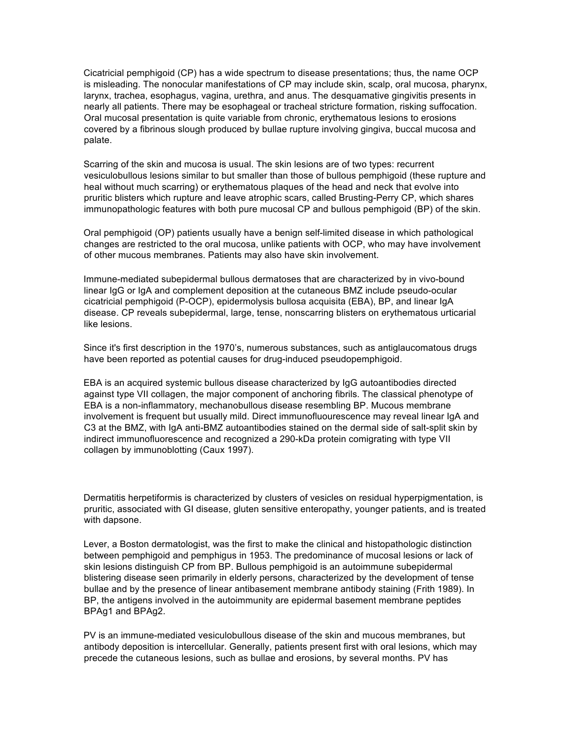Cicatricial pemphigoid (CP) has a wide spectrum to disease presentations; thus, the name OCP is misleading. The nonocular manifestations of CP may include skin, scalp, oral mucosa, pharynx, larynx, trachea, esophagus, vagina, urethra, and anus. The desquamative gingivitis presents in nearly all patients. There may be esophageal or tracheal stricture formation, risking suffocation. Oral mucosal presentation is quite variable from chronic, erythematous lesions to erosions covered by a fibrinous slough produced by bullae rupture involving gingiva, buccal mucosa and palate.

Scarring of the skin and mucosa is usual. The skin lesions are of two types: recurrent vesiculobullous lesions similar to but smaller than those of bullous pemphigoid (these rupture and heal without much scarring) or erythematous plaques of the head and neck that evolve into pruritic blisters which rupture and leave atrophic scars, called Brusting-Perry CP, which shares immunopathologic features with both pure mucosal CP and bullous pemphigoid (BP) of the skin.

Oral pemphigoid (OP) patients usually have a benign self-limited disease in which pathological changes are restricted to the oral mucosa, unlike patients with OCP, who may have involvement of other mucous membranes. Patients may also have skin involvement.

Immune-mediated subepidermal bullous dermatoses that are characterized by in vivo-bound linear IgG or IgA and complement deposition at the cutaneous BMZ include pseudo-ocular cicatricial pemphigoid (P-OCP), epidermolysis bullosa acquisita (EBA), BP, and linear IgA disease. CP reveals subepidermal, large, tense, nonscarring blisters on erythematous urticarial like lesions.

Since it's first description in the 1970's, numerous substances, such as antiglaucomatous drugs have been reported as potential causes for drug-induced pseudopemphigoid.

EBA is an acquired systemic bullous disease characterized by IgG autoantibodies directed against type VII collagen, the major component of anchoring fibrils. The classical phenotype of EBA is a non-inflammatory, mechanobullous disease resembling BP. Mucous membrane involvement is frequent but usually mild. Direct immunofluourescence may reveal linear IgA and C3 at the BMZ, with IgA anti-BMZ autoantibodies stained on the dermal side of salt-split skin by indirect immunofluorescence and recognized a 290-kDa protein comigrating with type VII collagen by immunoblotting (Caux 1997).

Dermatitis herpetiformis is characterized by clusters of vesicles on residual hyperpigmentation, is pruritic, associated with GI disease, gluten sensitive enteropathy, younger patients, and is treated with dapsone.

Lever, a Boston dermatologist, was the first to make the clinical and histopathologic distinction between pemphigoid and pemphigus in 1953. The predominance of mucosal lesions or lack of skin lesions distinguish CP from BP. Bullous pemphigoid is an autoimmune subepidermal blistering disease seen primarily in elderly persons, characterized by the development of tense bullae and by the presence of linear antibasement membrane antibody staining (Frith 1989). In BP, the antigens involved in the autoimmunity are epidermal basement membrane peptides BPAg1 and BPAg2.

PV is an immune-mediated vesiculobullous disease of the skin and mucous membranes, but antibody deposition is intercellular. Generally, patients present first with oral lesions, which may precede the cutaneous lesions, such as bullae and erosions, by several months. PV has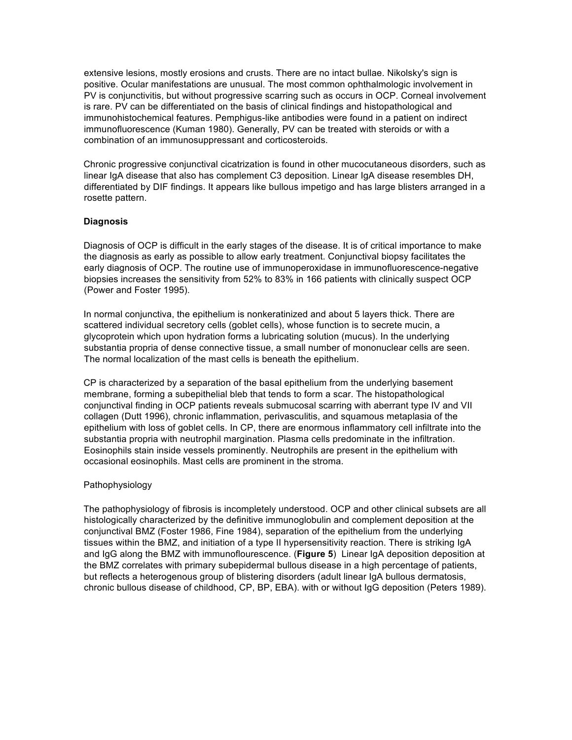extensive lesions, mostly erosions and crusts. There are no intact bullae. Nikolsky's sign is positive. Ocular manifestations are unusual. The most common ophthalmologic involvement in PV is conjunctivitis, but without progressive scarring such as occurs in OCP. Corneal involvement is rare. PV can be differentiated on the basis of clinical findings and histopathological and immunohistochemical features. Pemphigus-like antibodies were found in a patient on indirect immunofluorescence (Kuman 1980). Generally, PV can be treated with steroids or with a combination of an immunosuppressant and corticosteroids.

Chronic progressive conjunctival cicatrization is found in other mucocutaneous disorders, such as linear IgA disease that also has complement C3 deposition. Linear IgA disease resembles DH, differentiated by DIF findings. It appears like bullous impetigo and has large blisters arranged in a rosette pattern.

#### **Diagnosis**

Diagnosis of OCP is difficult in the early stages of the disease. It is of critical importance to make the diagnosis as early as possible to allow early treatment. Conjunctival biopsy facilitates the early diagnosis of OCP. The routine use of immunoperoxidase in immunofluorescence-negative biopsies increases the sensitivity from 52% to 83% in 166 patients with clinically suspect OCP (Power and Foster 1995).

In normal conjunctiva, the epithelium is nonkeratinized and about 5 layers thick. There are scattered individual secretory cells (goblet cells), whose function is to secrete mucin, a glycoprotein which upon hydration forms a lubricating solution (mucus). In the underlying substantia propria of dense connective tissue, a small number of mononuclear cells are seen. The normal localization of the mast cells is beneath the epithelium.

CP is characterized by a separation of the basal epithelium from the underlying basement membrane, forming a subepithelial bleb that tends to form a scar. The histopathological conjunctival finding in OCP patients reveals submucosal scarring with aberrant type IV and VII collagen (Dutt 1996), chronic inflammation, perivasculitis, and squamous metaplasia of the epithelium with loss of goblet cells. In CP, there are enormous inflammatory cell infiltrate into the substantia propria with neutrophil margination. Plasma cells predominate in the infiltration. Eosinophils stain inside vessels prominently. Neutrophils are present in the epithelium with occasional eosinophils. Mast cells are prominent in the stroma.

#### Pathophysiology

The pathophysiology of fibrosis is incompletely understood. OCP and other clinical subsets are all histologically characterized by the definitive immunoglobulin and complement deposition at the conjunctival BMZ (Foster 1986, Fine 1984), separation of the epithelium from the underlying tissues within the BMZ, and initiation of a type II hypersensitivity reaction. There is striking IgA and IgG along the BMZ with immunoflourescence. (**Figure 5**) Linear IgA deposition deposition at the BMZ correlates with primary subepidermal bullous disease in a high percentage of patients, but reflects a heterogenous group of blistering disorders (adult linear IgA bullous dermatosis, chronic bullous disease of childhood, CP, BP, EBA). with or without IgG deposition (Peters 1989).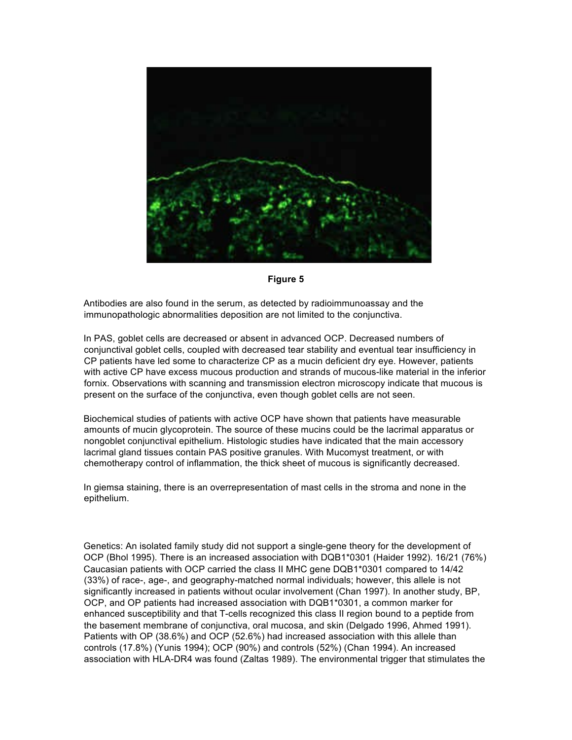

**Figure 5**

Antibodies are also found in the serum, as detected by radioimmunoassay and the immunopathologic abnormalities deposition are not limited to the conjunctiva.

In PAS, goblet cells are decreased or absent in advanced OCP. Decreased numbers of conjunctival goblet cells, coupled with decreased tear stability and eventual tear insufficiency in CP patients have led some to characterize CP as a mucin deficient dry eye. However, patients with active CP have excess mucous production and strands of mucous-like material in the inferior fornix. Observations with scanning and transmission electron microscopy indicate that mucous is present on the surface of the conjunctiva, even though goblet cells are not seen.

Biochemical studies of patients with active OCP have shown that patients have measurable amounts of mucin glycoprotein. The source of these mucins could be the lacrimal apparatus or nongoblet conjunctival epithelium. Histologic studies have indicated that the main accessory lacrimal gland tissues contain PAS positive granules. With Mucomyst treatment, or with chemotherapy control of inflammation, the thick sheet of mucous is significantly decreased.

In giemsa staining, there is an overrepresentation of mast cells in the stroma and none in the epithelium.

Genetics: An isolated family study did not support a single-gene theory for the development of OCP (Bhol 1995). There is an increased association with DQB1\*0301 (Haider 1992). 16/21 (76%) Caucasian patients with OCP carried the class II MHC gene DQB1\*0301 compared to 14/42 (33%) of race-, age-, and geography-matched normal individuals; however, this allele is not significantly increased in patients without ocular involvement (Chan 1997). In another study, BP, OCP, and OP patients had increased association with DQB1\*0301, a common marker for enhanced susceptibility and that T-cells recognized this class II region bound to a peptide from the basement membrane of conjunctiva, oral mucosa, and skin (Delgado 1996, Ahmed 1991). Patients with OP (38.6%) and OCP (52.6%) had increased association with this allele than controls (17.8%) (Yunis 1994); OCP (90%) and controls (52%) (Chan 1994). An increased association with HLA-DR4 was found (Zaltas 1989). The environmental trigger that stimulates the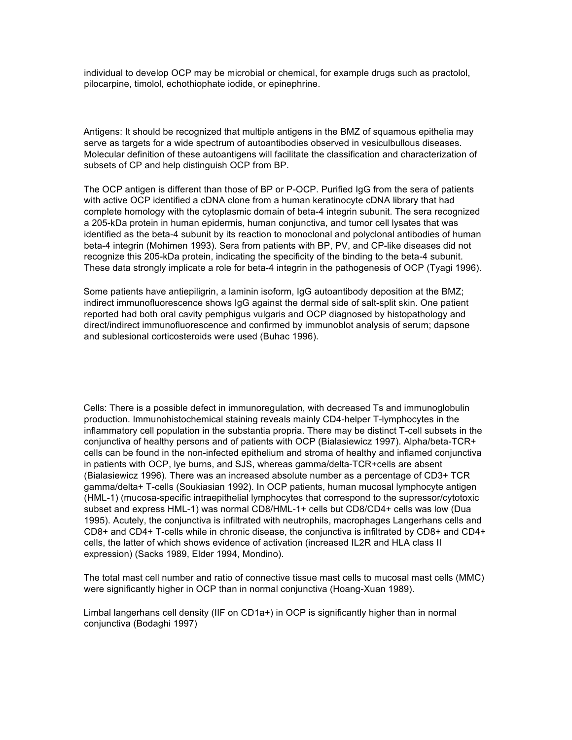individual to develop OCP may be microbial or chemical, for example drugs such as practolol, pilocarpine, timolol, echothiophate iodide, or epinephrine.

Antigens: It should be recognized that multiple antigens in the BMZ of squamous epithelia may serve as targets for a wide spectrum of autoantibodies observed in vesiculbullous diseases. Molecular definition of these autoantigens will facilitate the classification and characterization of subsets of CP and help distinguish OCP from BP.

The OCP antigen is different than those of BP or P-OCP. Purified IgG from the sera of patients with active OCP identified a cDNA clone from a human keratinocyte cDNA library that had complete homology with the cytoplasmic domain of beta-4 integrin subunit. The sera recognized a 205-kDa protein in human epidermis, human conjunctiva, and tumor cell lysates that was identified as the beta-4 subunit by its reaction to monoclonal and polyclonal antibodies of human beta-4 integrin (Mohimen 1993). Sera from patients with BP, PV, and CP-like diseases did not recognize this 205-kDa protein, indicating the specificity of the binding to the beta-4 subunit. These data strongly implicate a role for beta-4 integrin in the pathogenesis of OCP (Tyagi 1996).

Some patients have antiepiligrin, a laminin isoform, IgG autoantibody deposition at the BMZ; indirect immunofluorescence shows IgG against the dermal side of salt-split skin. One patient reported had both oral cavity pemphigus vulgaris and OCP diagnosed by histopathology and direct/indirect immunofluorescence and confirmed by immunoblot analysis of serum; dapsone and sublesional corticosteroids were used (Buhac 1996).

Cells: There is a possible defect in immunoregulation, with decreased Ts and immunoglobulin production. Immunohistochemical staining reveals mainly CD4-helper T-lymphocytes in the inflammatory cell population in the substantia propria. There may be distinct T-cell subsets in the conjunctiva of healthy persons and of patients with OCP (Bialasiewicz 1997). Alpha/beta-TCR+ cells can be found in the non-infected epithelium and stroma of healthy and inflamed conjunctiva in patients with OCP, lye burns, and SJS, whereas gamma/delta-TCR+cells are absent (Bialasiewicz 1996). There was an increased absolute number as a percentage of CD3+ TCR gamma/delta+ T-cells (Soukiasian 1992). In OCP patients, human mucosal lymphocyte antigen (HML-1) (mucosa-specific intraepithelial lymphocytes that correspond to the supressor/cytotoxic subset and express HML-1) was normal CD8/HML-1+ cells but CD8/CD4+ cells was low (Dua 1995). Acutely, the conjunctiva is infiltrated with neutrophils, macrophages Langerhans cells and CD8+ and CD4+ T-cells while in chronic disease, the conjunctiva is infiltrated by CD8+ and CD4+ cells, the latter of which shows evidence of activation (increased IL2R and HLA class II expression) (Sacks 1989, Elder 1994, Mondino).

The total mast cell number and ratio of connective tissue mast cells to mucosal mast cells (MMC) were significantly higher in OCP than in normal conjunctiva (Hoang-Xuan 1989).

Limbal langerhans cell density (IIF on CD1a+) in OCP is significantly higher than in normal conjunctiva (Bodaghi 1997)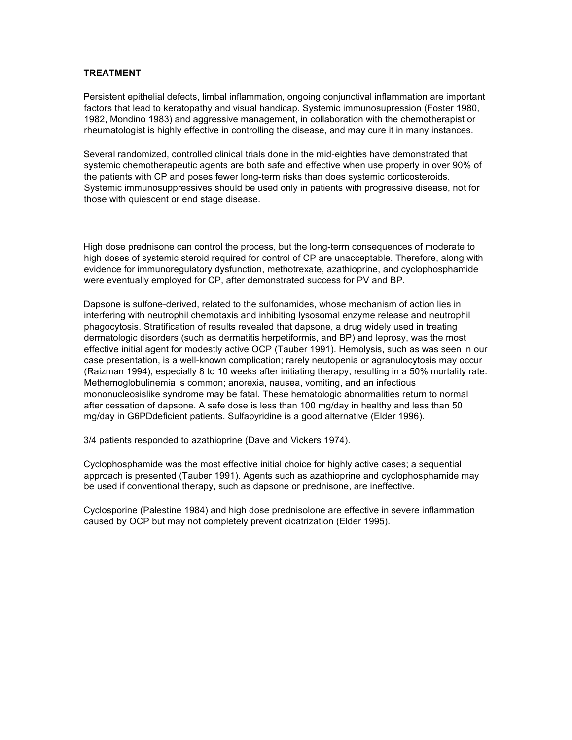#### **TREATMENT**

Persistent epithelial defects, limbal inflammation, ongoing conjunctival inflammation are important factors that lead to keratopathy and visual handicap. Systemic immunosupression (Foster 1980, 1982, Mondino 1983) and aggressive management, in collaboration with the chemotherapist or rheumatologist is highly effective in controlling the disease, and may cure it in many instances.

Several randomized, controlled clinical trials done in the mid-eighties have demonstrated that systemic chemotherapeutic agents are both safe and effective when use properly in over 90% of the patients with CP and poses fewer long-term risks than does systemic corticosteroids. Systemic immunosuppressives should be used only in patients with progressive disease, not for those with quiescent or end stage disease.

High dose prednisone can control the process, but the long-term consequences of moderate to high doses of systemic steroid required for control of CP are unacceptable. Therefore, along with evidence for immunoregulatory dysfunction, methotrexate, azathioprine, and cyclophosphamide were eventually employed for CP, after demonstrated success for PV and BP.

Dapsone is sulfone-derived, related to the sulfonamides, whose mechanism of action lies in interfering with neutrophil chemotaxis and inhibiting lysosomal enzyme release and neutrophil phagocytosis. Stratification of results revealed that dapsone, a drug widely used in treating dermatologic disorders (such as dermatitis herpetiformis, and BP) and leprosy, was the most effective initial agent for modestly active OCP (Tauber 1991). Hemolysis, such as was seen in our case presentation, is a well-known complication; rarely neutopenia or agranulocytosis may occur (Raizman 1994), especially 8 to 10 weeks after initiating therapy, resulting in a 50% mortality rate. Methemoglobulinemia is common; anorexia, nausea, vomiting, and an infectious mononucleosislike syndrome may be fatal. These hematologic abnormalities return to normal after cessation of dapsone. A safe dose is less than 100 mg/day in healthy and less than 50 mg/day in G6PDdeficient patients. Sulfapyridine is a good alternative (Elder 1996).

3/4 patients responded to azathioprine (Dave and Vickers 1974).

Cyclophosphamide was the most effective initial choice for highly active cases; a sequential approach is presented (Tauber 1991). Agents such as azathioprine and cyclophosphamide may be used if conventional therapy, such as dapsone or prednisone, are ineffective.

Cyclosporine (Palestine 1984) and high dose prednisolone are effective in severe inflammation caused by OCP but may not completely prevent cicatrization (Elder 1995).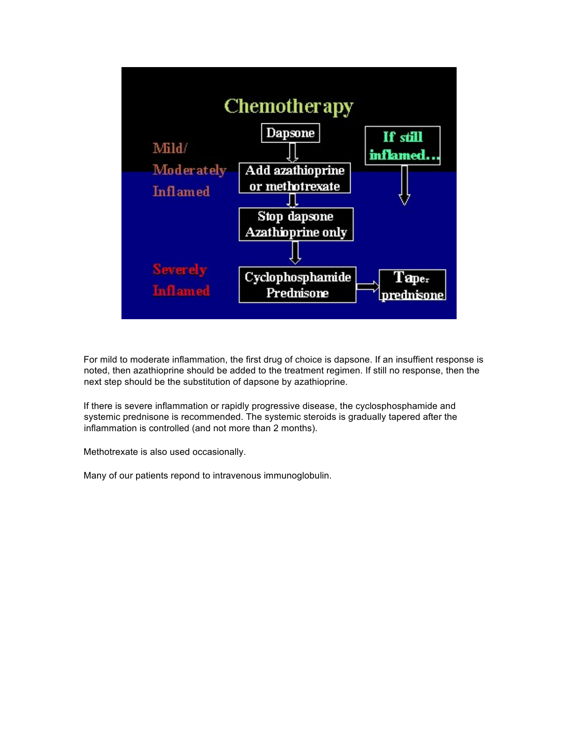

For mild to moderate inflammation, the first drug of choice is dapsone. If an insuffient response is noted, then azathioprine should be added to the treatment regimen. If still no response, then the next step should be the substitution of dapsone by azathioprine.

If there is severe inflammation or rapidly progressive disease, the cyclosphosphamide and systemic prednisone is recommended. The systemic steroids is gradually tapered after the inflammation is controlled (and not more than 2 months).

Methotrexate is also used occasionally.

Many of our patients repond to intravenous immunoglobulin.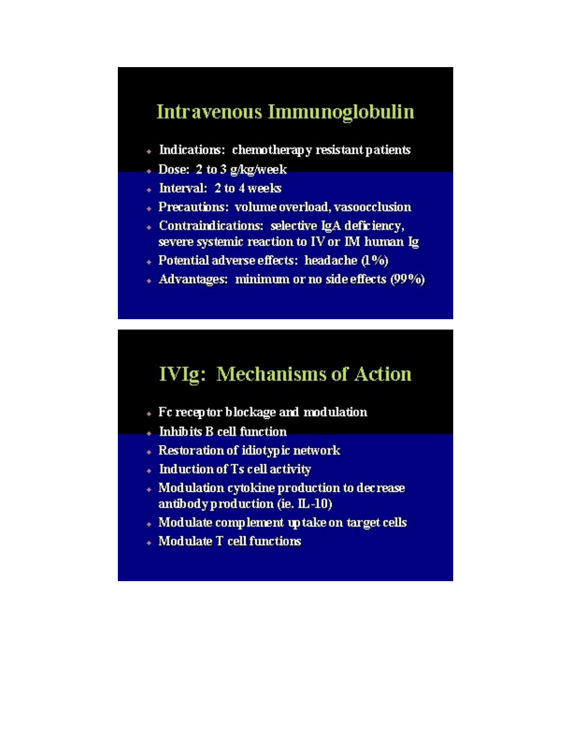### Intravenous Immunoglobulin

- + Indications: chemotherapy resistant patients
- + Dose: 2 to 3 g/kg/week
- + Interval: 2 to 4 weeks
- + Precautions: volume overload, vasoocclusion
- Contraindications: selective IgA deficiency, severe systemic reaction to IV or IM human Ig
- + Potential adverse effects: headache (1%)
- + Advantages: minimum or no side effects (99%)

### **IVIg: Mechanisms of Action**

- + Fc receptor blockage and modulation
- Inhibits B cell function
- + Restoration of idiotypic network
- Induction of Ts cell activity
- Modulation cytokine production to decrease antibody production (ie. IL-10)
- + Modulate complement up take on target cells
- Modulate T cell functions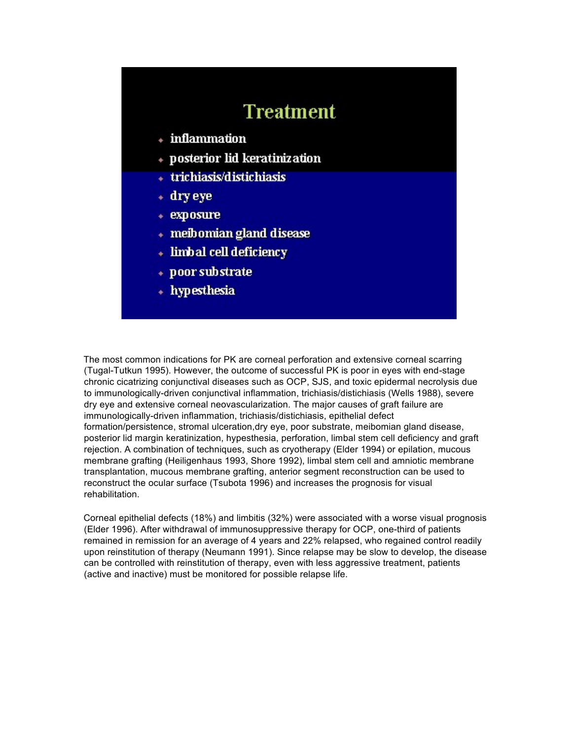### **Treatment**

- + inflammation
- + posterior lid keratinization
- + trichiasis/distichiasis
- + dry eye
- + exposure
- + meibomian gland disease
- + limbal cell deficiency
- + poor substrate
- + hypesthesia

The most common indications for PK are corneal perforation and extensive corneal scarring (Tugal-Tutkun 1995). However, the outcome of successful PK is poor in eyes with end-stage chronic cicatrizing conjunctival diseases such as OCP, SJS, and toxic epidermal necrolysis due to immunologically-driven conjunctival inflammation, trichiasis/distichiasis (Wells 1988), severe dry eye and extensive corneal neovascularization. The major causes of graft failure are immunologically-driven inflammation, trichiasis/distichiasis, epithelial defect formation/persistence, stromal ulceration, dry eye, poor substrate, meibomian gland disease, posterior lid margin keratinization, hypesthesia, perforation, limbal stem cell deficiency and graft rejection. A combination of techniques, such as cryotherapy (Elder 1994) or epilation, mucous membrane grafting (Heiligenhaus 1993, Shore 1992), limbal stem cell and amniotic membrane transplantation, mucous membrane grafting, anterior segment reconstruction can be used to reconstruct the ocular surface (Tsubota 1996) and increases the prognosis for visual rehabilitation.

Corneal epithelial defects (18%) and limbitis (32%) were associated with a worse visual prognosis (Elder 1996). After withdrawal of immunosuppressive therapy for OCP, one-third of patients remained in remission for an average of 4 years and 22% relapsed, who regained control readily upon reinstitution of therapy (Neumann 1991). Since relapse may be slow to develop, the disease can be controlled with reinstitution of therapy, even with less aggressive treatment, patients (active and inactive) must be monitored for possible relapse life.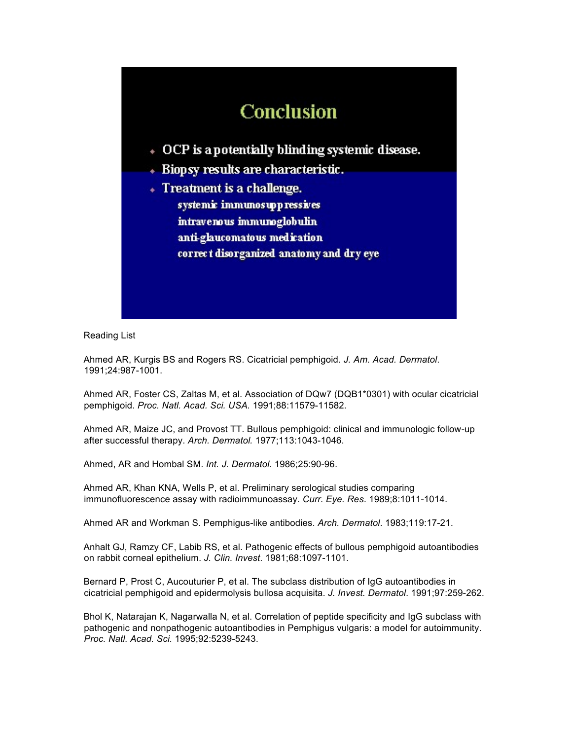## Conclusion

- + OCP is a potentially blinding systemic disease.
- Biopsy results are characteristic.
- Treatment is a challenge. systemic immunosuppressives intravenous immunoglobulin anti-glaucomatous medication correct disorganized anatomy and dry eye

Reading List

Ahmed AR, Kurgis BS and Rogers RS. Cicatricial pemphigoid. *J. Am. Acad. Dermatol*. 1991;24:987-1001.

Ahmed AR, Foster CS, Zaltas M, et al. Association of DQw7 (DQB1\*0301) with ocular cicatricial pemphigoid. *Proc. Natl. Acad. Sci. USA.* 1991;88:11579-11582.

Ahmed AR, Maize JC, and Provost TT. Bullous pemphigoid: clinical and immunologic follow-up after successful therapy. *Arch. Dermatol.* 1977;113:1043-1046.

Ahmed, AR and Hombal SM. *Int. J. Dermatol.* 1986;25:90-96.

Ahmed AR, Khan KNA, Wells P, et al. Preliminary serological studies comparing immunofluorescence assay with radioimmunoassay. *Curr. Eye. Res*. 1989;8:1011-1014.

Ahmed AR and Workman S. Pemphigus-like antibodies. *Arch. Dermatol*. 1983;119:17-21.

Anhalt GJ, Ramzy CF, Labib RS, et al. Pathogenic effects of bullous pemphigoid autoantibodies on rabbit corneal epithelium. *J. Clin. Invest*. 1981;68:1097-1101.

Bernard P, Prost C, Aucouturier P, et al. The subclass distribution of IgG autoantibodies in cicatricial pemphigoid and epidermolysis bullosa acquisita. *J. Invest. Dermatol*. 1991;97:259-262.

Bhol K, Natarajan K, Nagarwalla N, et al. Correlation of peptide specificity and IgG subclass with pathogenic and nonpathogenic autoantibodies in Pemphigus vulgaris: a model for autoimmunity. *Proc. Natl. Acad. Sci.* 1995;92:5239-5243.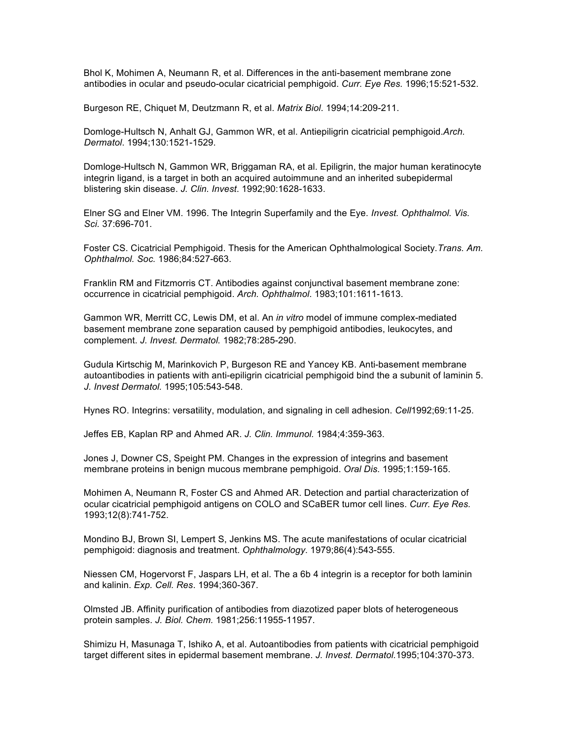Bhol K, Mohimen A, Neumann R, et al. Differences in the anti-basement membrane zone antibodies in ocular and pseudo-ocular cicatricial pemphigoid. *Curr. Eye Res.* 1996;15:521-532.

Burgeson RE, Chiquet M, Deutzmann R, et al. *Matrix Biol*. 1994;14:209-211.

Domloge-Hultsch N, Anhalt GJ, Gammon WR, et al. Antiepiligrin cicatricial pemphigoid.*Arch. Dermatol*. 1994;130:1521-1529.

Domloge-Hultsch N, Gammon WR, Briggaman RA, et al. Epiligrin, the major human keratinocyte integrin ligand, is a target in both an acquired autoimmune and an inherited subepidermal blistering skin disease. *J. Clin. Invest*. 1992;90:1628-1633.

Elner SG and Elner VM. 1996. The Integrin Superfamily and the Eye. *Invest. Ophthalmol. Vis. Sci.* 37:696-701.

Foster CS. Cicatricial Pemphigoid. Thesis for the American Ophthalmological Society.*Trans. Am. Ophthalmol. Soc.* 1986;84:527-663.

Franklin RM and Fitzmorris CT. Antibodies against conjunctival basement membrane zone: occurrence in cicatricial pemphigoid. *Arch. Ophthalmol*. 1983;101:1611-1613.

Gammon WR, Merritt CC, Lewis DM, et al. An *in vitro* model of immune complex-mediated basement membrane zone separation caused by pemphigoid antibodies, leukocytes, and complement. *J. Invest. Dermatol.* 1982;78:285-290.

Gudula Kirtschig M, Marinkovich P, Burgeson RE and Yancey KB. Anti-basement membrane autoantibodies in patients with anti-epiligrin cicatricial pemphigoid bind the a subunit of laminin 5. *J. Invest Dermatol.* 1995;105:543-548.

Hynes RO. Integrins: versatility, modulation, and signaling in cell adhesion. *Cell*1992;69:11-25.

Jeffes EB, Kaplan RP and Ahmed AR. *J. Clin. Immunol.* 1984;4:359-363.

Jones J, Downer CS, Speight PM. Changes in the expression of integrins and basement membrane proteins in benign mucous membrane pemphigoid. *Oral Dis*. 1995;1:159-165.

Mohimen A, Neumann R, Foster CS and Ahmed AR. Detection and partial characterization of ocular cicatricial pemphigoid antigens on COLO and SCaBER tumor cell lines. *Curr. Eye Res.* 1993;12(8):741-752.

Mondino BJ, Brown SI, Lempert S, Jenkins MS. The acute manifestations of ocular cicatricial pemphigoid: diagnosis and treatment. *Ophthalmology*. 1979;86(4):543-555.

Niessen CM, Hogervorst F, Jaspars LH, et al. The a 6b 4 integrin is a receptor for both laminin and kalinin. *Exp. Cell. Res*. 1994;360-367.

Olmsted JB. Affinity purification of antibodies from diazotized paper blots of heterogeneous protein samples. *J. Biol. Chem.* 1981;256:11955-11957.

Shimizu H, Masunaga T, Ishiko A, et al. Autoantibodies from patients with cicatricial pemphigoid target different sites in epidermal basement membrane. *J. Invest. Dermatol.*1995;104:370-373.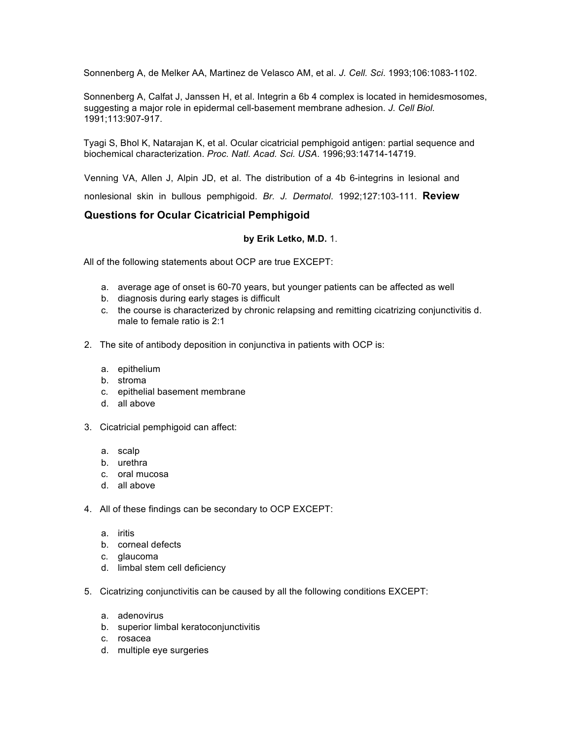Sonnenberg A, de Melker AA, Martinez de Velasco AM, et al. *J. Cell. Sci*. 1993;106:1083-1102.

Sonnenberg A, Calfat J, Janssen H, et al. Integrin a 6b 4 complex is located in hemidesmosomes, suggesting a major role in epidermal cell-basement membrane adhesion. *J. Cell Biol.* 1991;113:907-917.

Tyagi S, Bhol K, Natarajan K, et al. Ocular cicatricial pemphigoid antigen: partial sequence and biochemical characterization. *Proc. Natl. Acad. Sci. USA*. 1996;93:14714-14719.

Venning VA, Allen J, Alpin JD, et al. The distribution of a 4b 6-integrins in lesional and nonlesional skin in bullous pemphigoid. *Br. J. Dermatol*. 1992;127:103-111. **Review** 

#### **Questions for Ocular Cicatricial Pemphigoid**

#### **by Erik Letko, M.D.** 1.

All of the following statements about OCP are true EXCEPT:

- a. average age of onset is 60-70 years, but younger patients can be affected as well
- b. diagnosis during early stages is difficult
- c. the course is characterized by chronic relapsing and remitting cicatrizing conjunctivitis d. male to female ratio is 2:1
- 2. The site of antibody deposition in conjunctiva in patients with OCP is:
	- a. epithelium
	- b. stroma
	- c. epithelial basement membrane
	- d. all above
- 3. Cicatricial pemphigoid can affect:
	- a. scalp
	- b. urethra
	- c. oral mucosa
	- d. all above
- 4. All of these findings can be secondary to OCP EXCEPT:
	- a. iritis
	- b. corneal defects
	- c. glaucoma
	- d. limbal stem cell deficiency
- 5. Cicatrizing conjunctivitis can be caused by all the following conditions EXCEPT:
	- a. adenovirus
	- b. superior limbal keratoconjunctivitis
	- c. rosacea
	- d. multiple eye surgeries